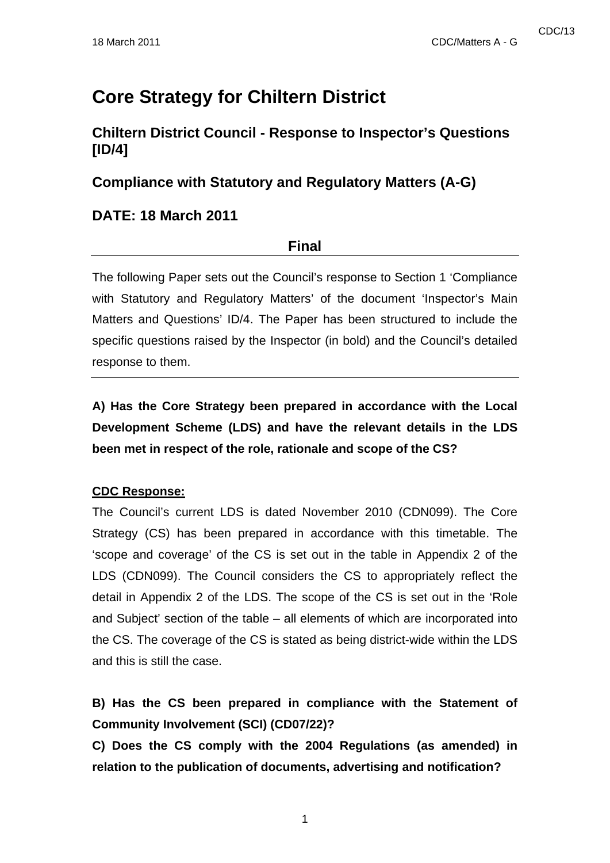# **Core Strategy for Chiltern District**

### **Chiltern District Council - Response to Inspector's Questions [ID/4]**

### **Compliance with Statutory and Regulatory Matters (A-G)**

### **DATE: 18 March 2011**

### **Final**

The following Paper sets out the Council's response to Section 1 'Compliance with Statutory and Regulatory Matters' of the document 'Inspector's Main Matters and Questions' ID/4. The Paper has been structured to include the specific questions raised by the Inspector (in bold) and the Council's detailed response to them.

**A) Has the Core Strategy been prepared in accordance with the Local Development Scheme (LDS) and have the relevant details in the LDS been met in respect of the role, rationale and scope of the CS?** 

### **CDC Response:**

The Council's current LDS is dated November 2010 (CDN099). The Core Strategy (CS) has been prepared in accordance with this timetable. The 'scope and coverage' of the CS is set out in the table in Appendix 2 of the LDS (CDN099). The Council considers the CS to appropriately reflect the detail in Appendix 2 of the LDS. The scope of the CS is set out in the 'Role and Subject' section of the table – all elements of which are incorporated into the CS. The coverage of the CS is stated as being district-wide within the LDS and this is still the case.

**B) Has the CS been prepared in compliance with the Statement of Community Involvement (SCI) (CD07/22)?** 

**C) Does the CS comply with the 2004 Regulations (as amended) in relation to the publication of documents, advertising and notification?**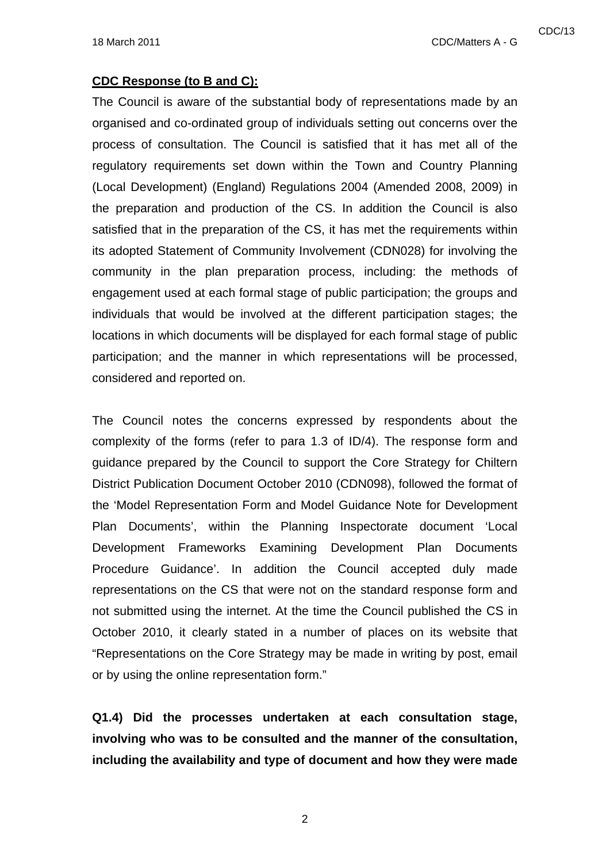### **CDC Response (to B and C):**

The Council is aware of the substantial body of representations made by an organised and co-ordinated group of individuals setting out concerns over the process of consultation. The Council is satisfied that it has met all of the regulatory requirements set down within the Town and Country Planning (Local Development) (England) Regulations 2004 (Amended 2008, 2009) in the preparation and production of the CS. In addition the Council is also satisfied that in the preparation of the CS, it has met the requirements within its adopted Statement of Community Involvement (CDN028) for involving the community in the plan preparation process, including: the methods of engagement used at each formal stage of public participation; the groups and individuals that would be involved at the different participation stages; the locations in which documents will be displayed for each formal stage of public participation; and the manner in which representations will be processed, considered and reported on.

The Council notes the concerns expressed by respondents about the complexity of the forms (refer to para 1.3 of ID/4). The response form and guidance prepared by the Council to support the Core Strategy for Chiltern District Publication Document October 2010 (CDN098), followed the format of the 'Model Representation Form and Model Guidance Note for Development Plan Documents', within the Planning Inspectorate document 'Local Development Frameworks Examining Development Plan Documents Procedure Guidance'. In addition the Council accepted duly made representations on the CS that were not on the standard response form and not submitted using the internet. At the time the Council published the CS in October 2010, it clearly stated in a number of places on its website that "Representations on the Core Strategy may be made in writing by post, email or by using the online representation form."

**Q1.4) Did the processes undertaken at each consultation stage, involving who was to be consulted and the manner of the consultation, including the availability and type of document and how they were made**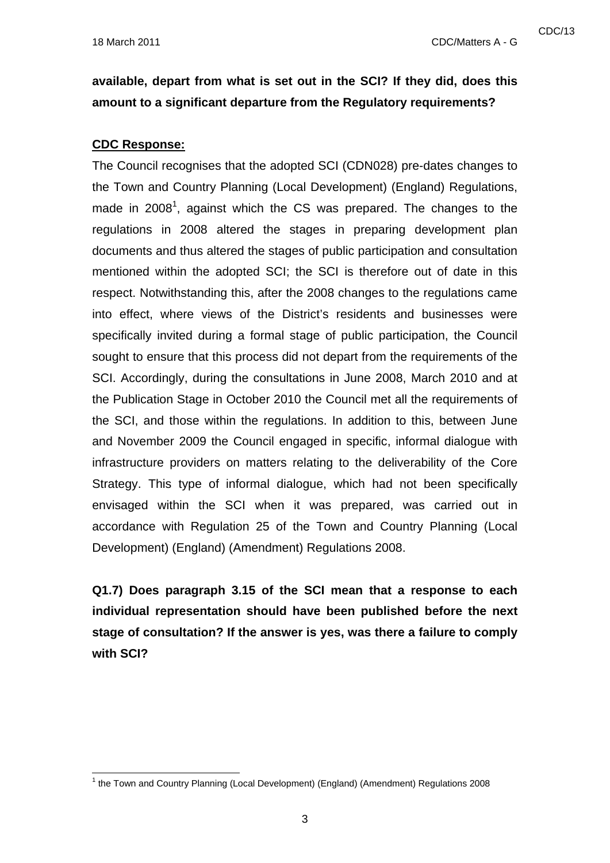**available, depart from what is set out in the SCI? If they did, does this amount to a significant departure from the Regulatory requirements?** 

### **CDC Response:**

The Council recognises that the adopted SCI (CDN028) pre-dates changes to the Town and Country Planning (Local Development) (England) Regulations, made in 2008<sup>1</sup>, against which the CS was prepared. The changes to the regulations in 2008 altered the stages in preparing development plan documents and thus altered the stages of public participation and consultation mentioned within the adopted SCI; the SCI is therefore out of date in this respect. Notwithstanding this, after the 2008 changes to the regulations came into effect, where views of the District's residents and businesses were specifically invited during a formal stage of public participation, the Council sought to ensure that this process did not depart from the requirements of the SCI. Accordingly, during the consultations in June 2008, March 2010 and at the Publication Stage in October 2010 the Council met all the requirements of the SCI, and those within the regulations. In addition to this, between June and November 2009 the Council engaged in specific, informal dialogue with infrastructure providers on matters relating to the deliverability of the Core Strategy. This type of informal dialogue, which had not been specifically envisaged within the SCI when it was prepared, was carried out in accordance with Regulation 25 of the Town and Country Planning (Local Development) (England) (Amendment) Regulations 2008.

**Q1.7) Does paragraph 3.15 of the SCI mean that a response to each individual representation should have been published before the next stage of consultation? If the answer is yes, was there a failure to comply with SCI?** 

<sup>1</sup> <sup>1</sup> the Town and Country Planning (Local Development) (England) (Amendment) Regulations 2008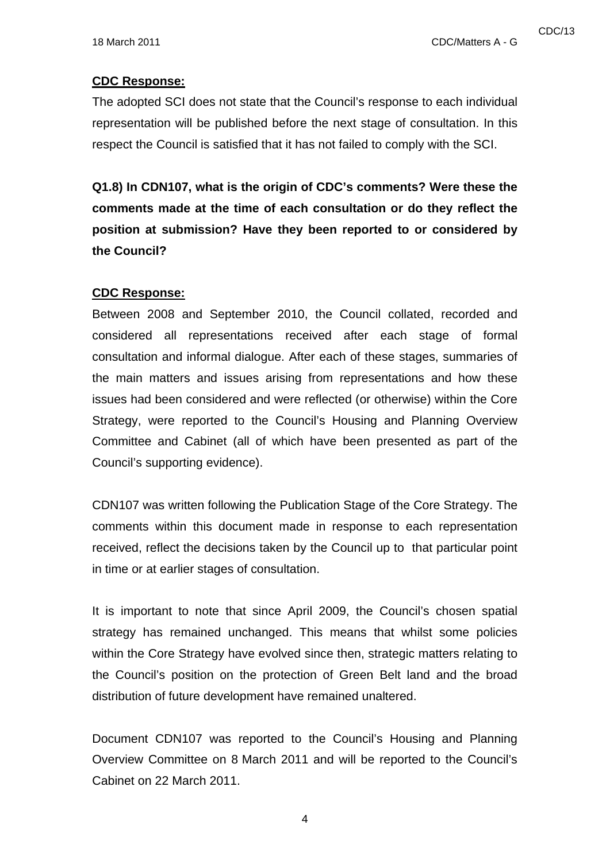### **CDC Response:**

The adopted SCI does not state that the Council's response to each individual representation will be published before the next stage of consultation. In this respect the Council is satisfied that it has not failed to comply with the SCI.

**Q1.8) In CDN107, what is the origin of CDC's comments? Were these the comments made at the time of each consultation or do they reflect the position at submission? Have they been reported to or considered by the Council?** 

### **CDC Response:**

Between 2008 and September 2010, the Council collated, recorded and considered all representations received after each stage of formal consultation and informal dialogue. After each of these stages, summaries of the main matters and issues arising from representations and how these issues had been considered and were reflected (or otherwise) within the Core Strategy, were reported to the Council's Housing and Planning Overview Committee and Cabinet (all of which have been presented as part of the Council's supporting evidence).

CDN107 was written following the Publication Stage of the Core Strategy. The comments within this document made in response to each representation received, reflect the decisions taken by the Council up to that particular point in time or at earlier stages of consultation.

It is important to note that since April 2009, the Council's chosen spatial strategy has remained unchanged. This means that whilst some policies within the Core Strategy have evolved since then, strategic matters relating to the Council's position on the protection of Green Belt land and the broad distribution of future development have remained unaltered.

Document CDN107 was reported to the Council's Housing and Planning Overview Committee on 8 March 2011 and will be reported to the Council's Cabinet on 22 March 2011.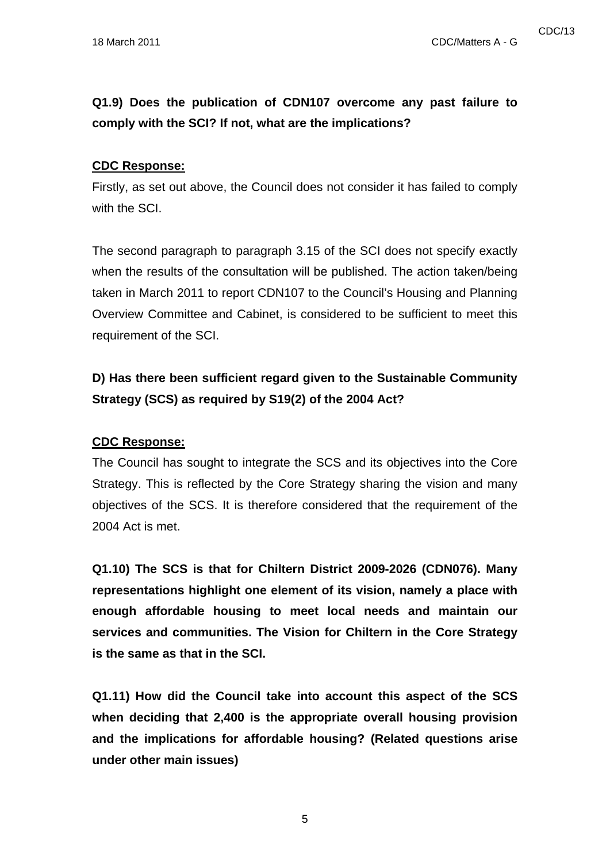# **Q1.9) Does the publication of CDN107 overcome any past failure to comply with the SCI? If not, what are the implications?**

### **CDC Response:**

Firstly, as set out above, the Council does not consider it has failed to comply with the SCI.

The second paragraph to paragraph 3.15 of the SCI does not specify exactly when the results of the consultation will be published. The action taken/being taken in March 2011 to report CDN107 to the Council's Housing and Planning Overview Committee and Cabinet, is considered to be sufficient to meet this requirement of the SCI.

# **D) Has there been sufficient regard given to the Sustainable Community Strategy (SCS) as required by S19(2) of the 2004 Act?**

### **CDC Response:**

The Council has sought to integrate the SCS and its objectives into the Core Strategy. This is reflected by the Core Strategy sharing the vision and many objectives of the SCS. It is therefore considered that the requirement of the 2004 Act is met.

**Q1.10) The SCS is that for Chiltern District 2009-2026 (CDN076). Many representations highlight one element of its vision, namely a place with enough affordable housing to meet local needs and maintain our services and communities. The Vision for Chiltern in the Core Strategy is the same as that in the SCI.** 

**Q1.11) How did the Council take into account this aspect of the SCS when deciding that 2,400 is the appropriate overall housing provision and the implications for affordable housing? (Related questions arise under other main issues)**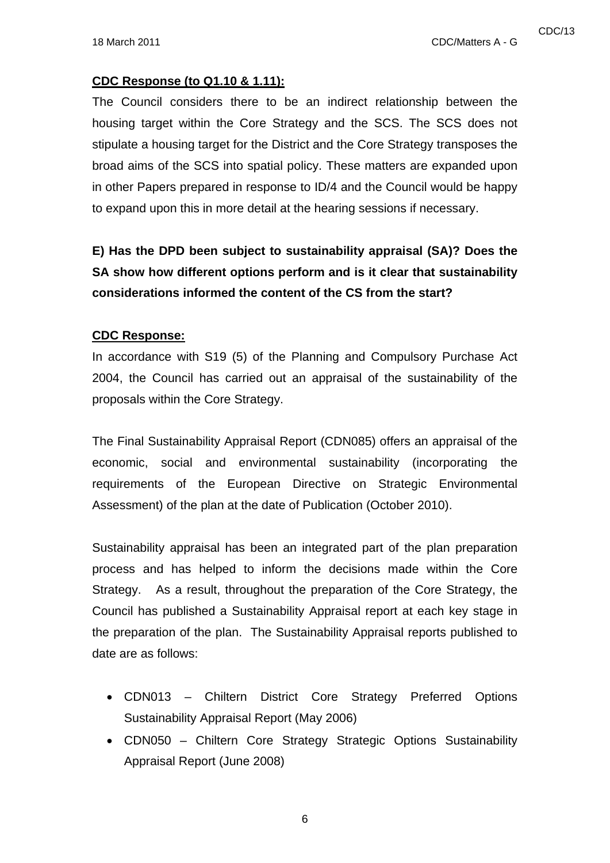### **CDC Response (to Q1.10 & 1.11):**

The Council considers there to be an indirect relationship between the housing target within the Core Strategy and the SCS. The SCS does not stipulate a housing target for the District and the Core Strategy transposes the broad aims of the SCS into spatial policy. These matters are expanded upon in other Papers prepared in response to ID/4 and the Council would be happy to expand upon this in more detail at the hearing sessions if necessary.

**E) Has the DPD been subject to sustainability appraisal (SA)? Does the SA show how different options perform and is it clear that sustainability considerations informed the content of the CS from the start?** 

### **CDC Response:**

In accordance with S19 (5) of the Planning and Compulsory Purchase Act 2004, the Council has carried out an appraisal of the sustainability of the proposals within the Core Strategy.

The Final Sustainability Appraisal Report (CDN085) offers an appraisal of the economic, social and environmental sustainability (incorporating the requirements of the European Directive on Strategic Environmental Assessment) of the plan at the date of Publication (October 2010).

Sustainability appraisal has been an integrated part of the plan preparation process and has helped to inform the decisions made within the Core Strategy. As a result, throughout the preparation of the Core Strategy, the Council has published a Sustainability Appraisal report at each key stage in the preparation of the plan. The Sustainability Appraisal reports published to date are as follows:

- CDN013 Chiltern District Core Strategy Preferred Options Sustainability Appraisal Report (May 2006)
- CDN050 Chiltern Core Strategy Strategic Options Sustainability Appraisal Report (June 2008)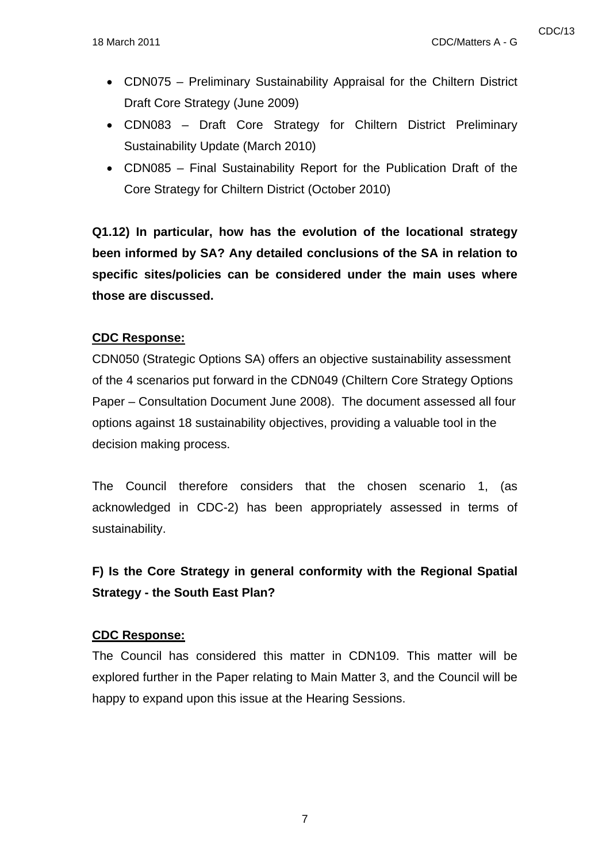- CDN075 Preliminary Sustainability Appraisal for the Chiltern District Draft Core Strategy (June 2009)
- CDN083 Draft Core Strategy for Chiltern District Preliminary Sustainability Update (March 2010)
- CDN085 Final Sustainability Report for the Publication Draft of the Core Strategy for Chiltern District (October 2010)

**Q1.12) In particular, how has the evolution of the locational strategy been informed by SA? Any detailed conclusions of the SA in relation to specific sites/policies can be considered under the main uses where those are discussed.** 

### **CDC Response:**

CDN050 (Strategic Options SA) offers an objective sustainability assessment of the 4 scenarios put forward in the CDN049 (Chiltern Core Strategy Options Paper – Consultation Document June 2008). The document assessed all four options against 18 sustainability objectives, providing a valuable tool in the decision making process.

The Council therefore considers that the chosen scenario 1, (as acknowledged in CDC-2) has been appropriately assessed in terms of sustainability.

# **F) Is the Core Strategy in general conformity with the Regional Spatial Strategy - the South East Plan?**

### **CDC Response:**

The Council has considered this matter in CDN109. This matter will be explored further in the Paper relating to Main Matter 3, and the Council will be happy to expand upon this issue at the Hearing Sessions.